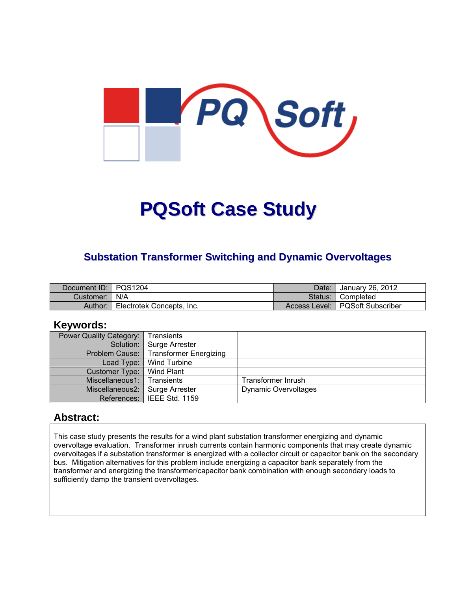

# **PQSoft Case Study**

#### **Substation Transformer Switching and Dynamic Overvoltages**

| Document ID: PQS1204 |                           | Date: | <sup>1</sup> January 26, 2012     |
|----------------------|---------------------------|-------|-----------------------------------|
| Customer:   N/A      |                           |       | Status: Completed                 |
| Author:              | Electrotek Concepts, Inc. |       | Access Level:   PQSoft Subscriber |

#### **Keywords:**

| Power Quality Category: | Transients                    |                             |  |
|-------------------------|-------------------------------|-----------------------------|--|
|                         | Solution:   Surge Arrester    |                             |  |
| Problem Cause:          | <b>Transformer Energizing</b> |                             |  |
|                         | Load Type:   Wind Turbine     |                             |  |
| Customer Type:          | Wind Plant                    |                             |  |
| Miscellaneous1:         | Transients                    | Transformer Inrush          |  |
| Miscellaneous2:         | Surge Arrester                | <b>Dynamic Overvoltages</b> |  |
|                         | References:   IEEE Std. 1159  |                             |  |

#### **Abstract:**

This case study presents the results for a wind plant substation transformer energizing and dynamic overvoltage evaluation. Transformer inrush currents contain harmonic components that may create dynamic overvoltages if a substation transformer is energized with a collector circuit or capacitor bank on the secondary bus. Mitigation alternatives for this problem include energizing a capacitor bank separately from the transformer and energizing the transformer/capacitor bank combination with enough secondary loads to sufficiently damp the transient overvoltages.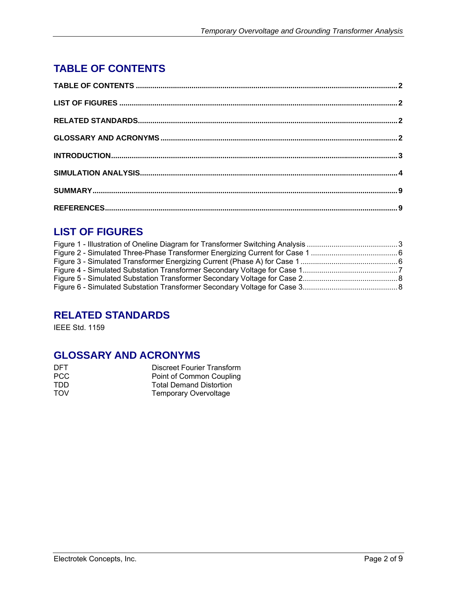## **TABLE OF CONTENTS**

## **LIST OF FIGURES**

## **RELATED STANDARDS**

IEEE Std. 1159

#### **GLOSSARY AND ACRONYMS**

| DFT.       | <b>Discreet Fourier Transform</b> |
|------------|-----------------------------------|
| PCC        | Point of Common Coupling          |
| TDD.       | <b>Total Demand Distortion</b>    |
| <b>TOV</b> | <b>Temporary Overvoltage</b>      |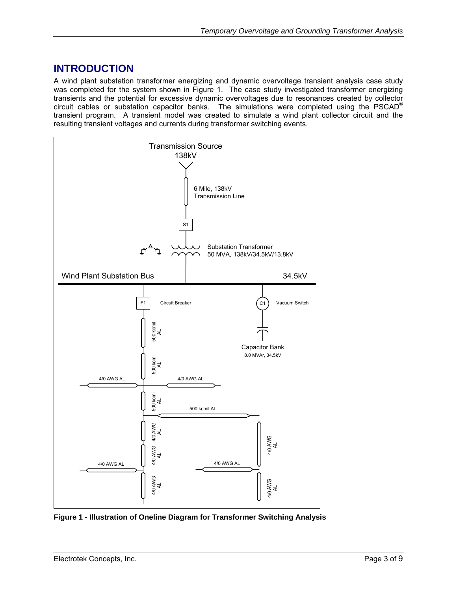## **INTRODUCTION**

A wind plant substation transformer energizing and dynamic overvoltage transient analysis case study was completed for the system shown in Figure 1. The case study investigated transformer energizing transients and the potential for excessive dynamic overvoltages due to resonances created by collector circuit cables or substation capacitor banks. The simulations were completed using the PSCAD® transient program. A transient model was created to simulate a wind plant collector circuit and the resulting transient voltages and currents during transformer switching events.



**Figure 1 - Illustration of Oneline Diagram for Transformer Switching Analysis**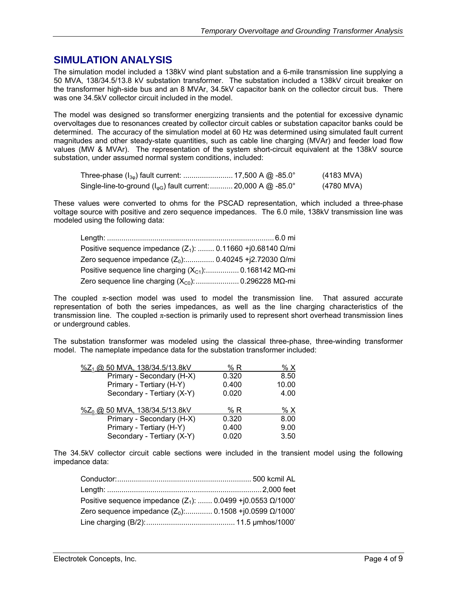#### **SIMULATION ANALYSIS**

The simulation model included a 138kV wind plant substation and a 6-mile transmission line supplying a 50 MVA, 138/34.5/13.8 kV substation transformer. The substation included a 138kV circuit breaker on the transformer high-side bus and an 8 MVAr, 34.5kV capacitor bank on the collector circuit bus. There was one 34.5kV collector circuit included in the model.

The model was designed so transformer energizing transients and the potential for excessive dynamic overvoltages due to resonances created by collector circuit cables or substation capacitor banks could be determined. The accuracy of the simulation model at 60 Hz was determined using simulated fault current magnitudes and other steady-state quantities, such as cable line charging (MVAr) and feeder load flow values (MW & MVAr). The representation of the system short-circuit equivalent at the 138kV source substation, under assumed normal system conditions, included:

| Three-phase ( $I_{3\phi}$ ) fault current:  17,500 A @ -85.0°                         | (4183 MVA) |
|---------------------------------------------------------------------------------------|------------|
| Single-line-to-ground ( $I_{\varphi G}$ ) fault current:  20,000 A @ -85.0 $^{\circ}$ | (4780 MVA) |

These values were converted to ohms for the PSCAD representation, which included a three-phase voltage source with positive and zero sequence impedances. The 6.0 mile, 138kV transmission line was modeled using the following data:

| Positive sequence impedance $(Z_1)$ :  0.11660 +j0.68140 $\Omega$ /mi |  |
|-----------------------------------------------------------------------|--|
| Zero sequence impedance $(Z_0)$ : 0.40245 + j2.72030 Ω/mi             |  |
|                                                                       |  |
| Zero sequence line charging $(X_{C0})$ :  0.296228 MQ-mi              |  |

The coupled  $\pi$ -section model was used to model the transmission line. That assured accurate representation of both the series impedances, as well as the line charging characteristics of the transmission line. The coupled  $\pi$ -section is primarily used to represent short overhead transmission lines or underground cables.

The substation transformer was modeled using the classical three-phase, three-winding transformer model. The nameplate impedance data for the substation transformer included:

| 8.50  |
|-------|
| 10.00 |
| 4.00  |
|       |
| % X   |
| 8.00  |
| 9.00  |
| 3.50  |
|       |

The 34.5kV collector circuit cable sections were included in the transient model using the following impedance data:

| Positive sequence impedance $(Z_1)$ :  0.0499 +j0.0553 $\Omega$ /1000' |  |
|------------------------------------------------------------------------|--|
| Zero sequence impedance $(Z_0)$ : 0.1508 +j0.0599 $\Omega$ /1000'      |  |
|                                                                        |  |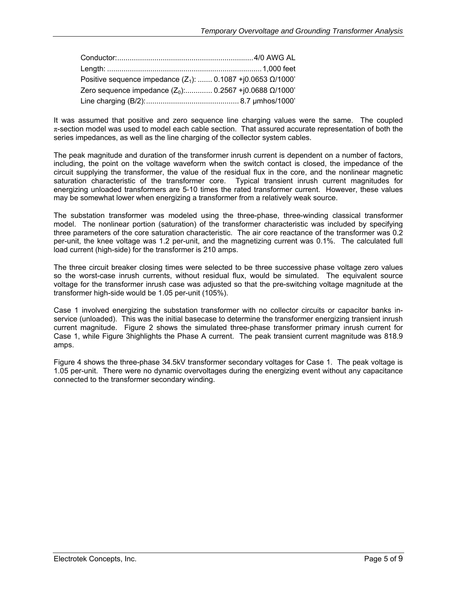| Positive sequence impedance $(Z_1)$ :  0.1087 +j0.0653 $\Omega$ /1000' |  |
|------------------------------------------------------------------------|--|
| Zero sequence impedance $(Z_0)$ : 0.2567 + j0.0688 Ω/1000'             |  |
|                                                                        |  |

It was assumed that positive and zero sequence line charging values were the same. The coupled  $\pi$ -section model was used to model each cable section. That assured accurate representation of both the series impedances, as well as the line charging of the collector system cables.

The peak magnitude and duration of the transformer inrush current is dependent on a number of factors, including, the point on the voltage waveform when the switch contact is closed, the impedance of the circuit supplying the transformer, the value of the residual flux in the core, and the nonlinear magnetic saturation characteristic of the transformer core. Typical transient inrush current magnitudes for energizing unloaded transformers are 5-10 times the rated transformer current. However, these values may be somewhat lower when energizing a transformer from a relatively weak source.

The substation transformer was modeled using the three-phase, three-winding classical transformer model. The nonlinear portion (saturation) of the transformer characteristic was included by specifying three parameters of the core saturation characteristic. The air core reactance of the transformer was 0.2 per-unit, the knee voltage was 1.2 per-unit, and the magnetizing current was 0.1%. The calculated full load current (high-side) for the transformer is 210 amps.

The three circuit breaker closing times were selected to be three successive phase voltage zero values so the worst-case inrush currents, without residual flux, would be simulated. The equivalent source voltage for the transformer inrush case was adjusted so that the pre-switching voltage magnitude at the transformer high-side would be 1.05 per-unit (105%).

Case 1 involved energizing the substation transformer with no collector circuits or capacitor banks inservice (unloaded). This was the initial basecase to determine the transformer energizing transient inrush current magnitude. Figure 2 shows the simulated three-phase transformer primary inrush current for Case 1, while Figure 3highlights the Phase A current. The peak transient current magnitude was 818.9 amps.

Figure 4 shows the three-phase 34.5kV transformer secondary voltages for Case 1. The peak voltage is 1.05 per-unit. There were no dynamic overvoltages during the energizing event without any capacitance connected to the transformer secondary winding.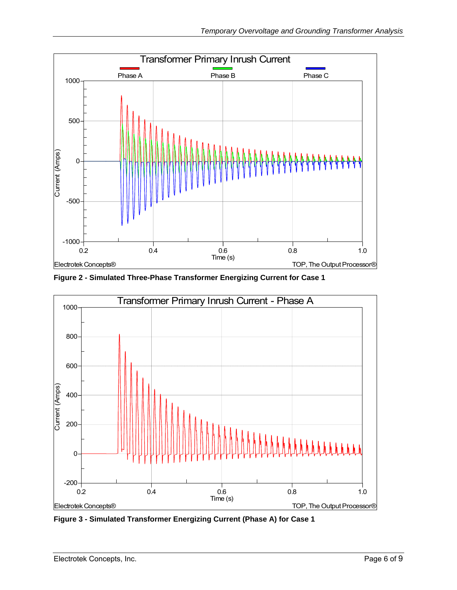

**Figure 2 - Simulated Three-Phase Transformer Energizing Current for Case 1** 



**Figure 3 - Simulated Transformer Energizing Current (Phase A) for Case 1**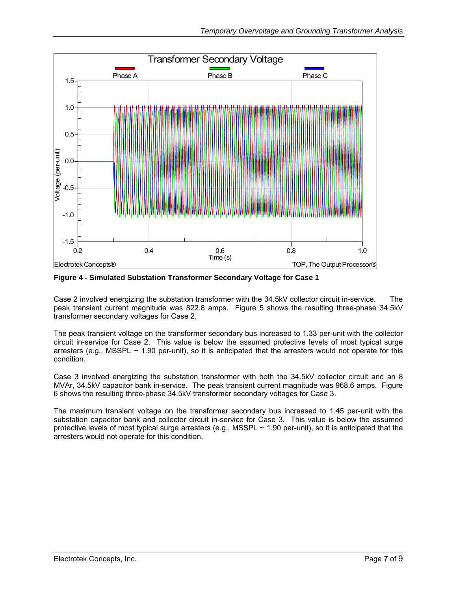

**Figure 4 - Simulated Substation Transformer Secondary Voltage for Case 1** 

Case 2 involved energizing the substation transformer with the 34.5kV collector circuit in-service. The peak transient current magnitude was 822.8 amps. Figure 5 shows the resulting three-phase 34.5kV transformer secondary voltages for Case 2.

The peak transient voltage on the transformer secondary bus increased to 1.33 per-unit with the collector circuit in-service for Case 2. This value is below the assumed protective levels of most typical surge arresters (e.g., MSSPL  $\sim$  1.90 per-unit), so it is anticipated that the arresters would not operate for this condition.

Case 3 involved energizing the substation transformer with both the 34.5kV collector circuit and an 8 MVAr, 34.5kV capacitor bank in-service. The peak transient current magnitude was 968.6 amps. Figure 6 shows the resulting three-phase 34.5kV transformer secondary voltages for Case 3.

The maximum transient voltage on the transformer secondary bus increased to 1.45 per-unit with the substation capacitor bank and collector circuit in-service for Case 3. This value is below the assumed protective levels of most typical surge arresters (e.g., MSSPL ~ 1.90 per-unit), so it is anticipated that the arresters would not operate for this condition.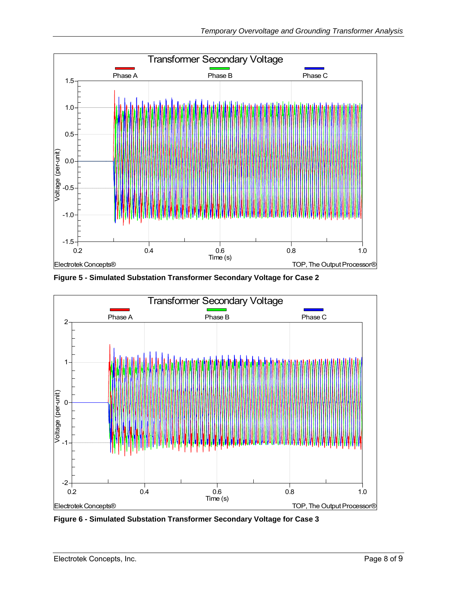

**Figure 5 - Simulated Substation Transformer Secondary Voltage for Case 2** 



**Figure 6 - Simulated Substation Transformer Secondary Voltage for Case 3**